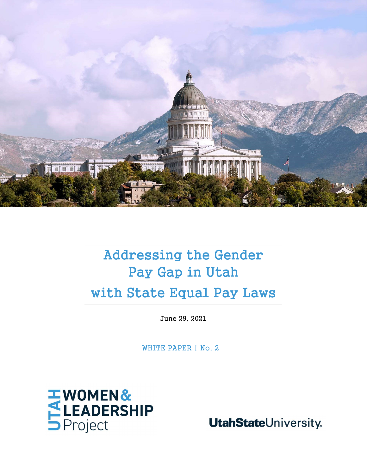

# Addressing the Gender Pay Gap in Utah with State Equal Pay Laws

June 29, 2021

WHITE PAPER | No. 2



**UtahStateUniversity**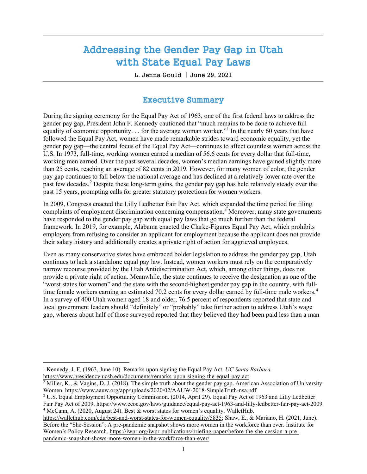## Addressing the Gender Pay Gap in Utah with State Equal Pay Laws

L. Jenna Gould | June 29, 2021

### Executive Summary

During the signing ceremony for the Equal Pay Act of 1963, one of the first federal laws to address the gender pay gap, President John F. Kennedy cautioned that "much remains to be done to achieve full equality of economic opportunity. . . for the average woman worker."<sup>[1](#page-1-0)</sup> In the nearly 60 years that have followed the Equal Pay Act, women have made remarkable strides toward economic equality, yet the gender pay gap—the central focus of the Equal Pay Act—continues to affect countless women across the U.S. In 1973, full-time, working women earned a median of 56.6 cents for every dollar that full-time, working men earned. Over the past several decades, women's median earnings have gained slightly more than 25 cents, reaching an average of 82 cents in 2019. However, for many women of color, the gender pay gap continues to fall below the national average and has declined at a relatively lower rate over the past few decades.<sup>[2](#page-1-1)</sup> Despite these long-term gains, the gender pay gap has held relatively steady over the past 15 years, prompting calls for greater statutory protections for women workers.

In 2009, Congress enacted the Lilly Ledbetter Fair Pay Act, which expanded the time period for filing complaints of employment discrimination concerning compensation. [3](#page-1-2) Moreover, many state governments have responded to the gender pay gap with equal pay laws that go much further than the federal framework. In 2019, for example, Alabama enacted the Clarke-Figures Equal Pay Act, which prohibits employers from refusing to consider an applicant for employment because the applicant does not provide their salary history and additionally creates a private right of action for aggrieved employees.

Even as many conservative states have embraced bolder legislation to address the gender pay gap, Utah continues to lack a standalone equal pay law. Instead, women workers must rely on the comparatively narrow recourse provided by the Utah Antidiscrimination Act, which, among other things, does not provide a private right of action. Meanwhile, the state continues to receive the designation as one of the "worst states for women" and the state with the second-highest gender pay gap in the country, with full-time female workers earning an estimated 70.2 cents for every dollar earned by full-time male workers.<sup>[4](#page-1-3)</sup> In a survey of 400 Utah women aged 18 and older, 76.5 percent of respondents reported that state and local government leaders should "definitely" or "probably" take further action to address Utah's wage gap, whereas about half of those surveyed reported that they believed they had been paid less than a man

 $\overline{\phantom{a}}$ 

<span id="page-1-3"></span>[https://wallethub.com/edu/best-and-worst-states-for-women-equality/5835;](https://wallethub.com/edu/best-and-worst-states-for-women-equality/5835) Shaw, E., & Mariano, H. (2021, June). Before the "She-Session": A pre-pandemic snapshot shows more women in the workforce than ever. Institute for Women's Policy Research. [https://iwpr.org/iwpr-publications/briefing-paper/before-the-she-cession-a-pre](https://iwpr.org/iwpr-publications/briefing-paper/before-the-she-cession-a-pre-pandemic-snapshot-shows-more-women-in-the-workforce-than-ever/)[pandemic-snapshot-shows-more-women-in-the-workforce-than-ever/](https://iwpr.org/iwpr-publications/briefing-paper/before-the-she-cession-a-pre-pandemic-snapshot-shows-more-women-in-the-workforce-than-ever/)

<span id="page-1-0"></span><sup>1</sup> Kennedy, J. F. (1963, June 10). Remarks upon signing the Equal Pay Act. *UC Santa Barbara.*  <https://www.presidency.ucsb.edu/documents/remarks-upon-signing-the-equal-pay-act>

<span id="page-1-1"></span> $\frac{2}{2}$  Miller, K., & Vagins, D. J. (2018). The simple truth about the gender pay gap. American Association of University Women[. https://www.aauw.org/app/uploads/2020/02/AAUW-2018-SimpleTruth-nsa.pdf](https://www.aauw.org/app/uploads/2020/02/AAUW-2018-SimpleTruth-nsa.pdf)

<span id="page-1-2"></span><sup>3</sup> U.S. Equal Employment Opportunity Commission. (2014, April 29). Equal Pay Act of 1963 and Lilly Ledbetter Fair Pay Act of 2009.<https://www.eeoc.gov/laws/guidance/equal-pay-act-1963-and-lilly-ledbetter-fair-pay-act-2009> <sup>4</sup> McCann, A. (2020, August 24). Best & worst states for women's equality. WalletHub.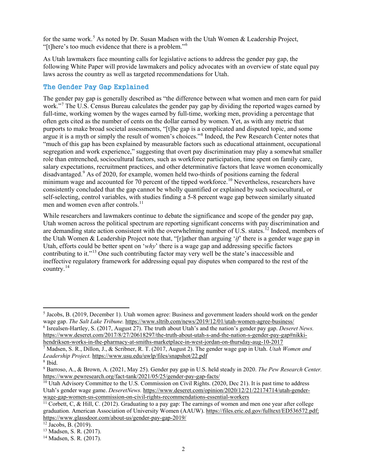for the same work.<sup>[5](#page-2-0)</sup> As noted by Dr. Susan Madsen with the Utah Women  $\&$  Leadership Project, "[t]here's too much evidence that there is a problem."[6](#page-2-1)

As Utah lawmakers face mounting calls for legislative actions to address the gender pay gap, the following White Paper will provide lawmakers and policy advocates with an overview of state equal pay laws across the country as well as targeted recommendations for Utah.

#### The Gender Pay Gap Explained

The gender pay gap is generally described as "the difference between what women and men earn for paid work."[7](#page-2-2) The U.S. Census Bureau calculates the gender pay gap by dividing the reported wages earned by full-time, working women by the wages earned by full-time, working men, providing a percentage that often gets cited as the number of cents on the dollar earned by women. Yet, as with any metric that purports to make broad societal assessments, "[t]he gap is a complicated and disputed topic, and some argue it is a myth or simply the result of women's choices."<sup>[8](#page-2-3)</sup> Indeed, the Pew Research Center notes that "much of this gap has been explained by measurable factors such as educational attainment, occupational segregation and work experience," suggesting that overt pay discrimination may play a somewhat smaller role than entrenched, sociocultural factors, such as workforce participation, time spent on family care, salary expectations, recruitment practices, and other determinative factors that leave women economically disadvantaged.<sup>[9](#page-2-4)</sup> As of 2020, for example, women held two-thirds of positions earning the federal minimum wage and accounted for 70 percent of the tipped workforce.<sup>[10](#page-2-5)</sup> Nevertheless, researchers have consistently concluded that the gap cannot be wholly quantified or explained by such sociocultural, or self-selecting, control variables, with studies finding a 5-8 percent wage gap between similarly situated men and women even after controls.<sup>[11](#page-2-6)</sup>

While researchers and lawmakers continue to debate the significance and scope of the gender pay gap, Utah women across the political spectrum are reporting significant concerns with pay discrimination and are demanding state action consistent with the overwhelming number of U.S. states.<sup>[12](#page-2-7)</sup> Indeed, members of the Utah Women & Leadership Project note that, "[r]ather than arguing '*if*' there is a gender wage gap in Utah, efforts could be better spent on '*why*' there is a wage gap and addressing specific factors contributing to it."[13](#page-2-8) One such contributing factor may very well be the state's inaccessible and ineffective regulatory framework for addressing equal pay disputes when compared to the rest of the country.[14](#page-2-9)

 $\overline{\phantom{a}}$ 

<span id="page-2-0"></span><sup>5</sup> Jacobs, B. (2019, December 1). Utah women agree: Business and government leaders should work on the gender wage gap. *The Salt Lake Tribune.* <https://www.sltrib.com/news/2019/12/01/utah-women-agree-business/>

<span id="page-2-1"></span><sup>6</sup> Isrealsen-Hartley, S. (2017, August 27). The truth about Utah's and the nation's gender pay gap. *Deseret News.*  [https://www.deseret.com/2017/8/27/20618297/the-truth-about-utah-s-and-the-nation-s-gender-pay-gap#nikki](https://www.deseret.com/2017/8/27/20618297/the-truth-about-utah-s-and-the-nation-s-gender-pay-gap#nikki-hendriksen-works-in-the-pharmacy-at-smiths-marketplace-in-west-jordan-on-thursday-aug-10-2017)[hendriksen-works-in-the-pharmacy-at-smiths-marketplace-in-west-jordan-on-thursday-aug-10-2017](https://www.deseret.com/2017/8/27/20618297/the-truth-about-utah-s-and-the-nation-s-gender-pay-gap#nikki-hendriksen-works-in-the-pharmacy-at-smiths-marketplace-in-west-jordan-on-thursday-aug-10-2017)

<span id="page-2-2"></span><sup>7</sup> Madsen, S. R., Dillon, J., & Scribner, R. T. (2017, August 2). The gender wage gap in Utah. *Utah Women and Leadership Project.* <https://www.usu.edu/uwlp/files/snapshot/22.pdf>

<span id="page-2-3"></span><sup>8</sup> Ibid.

<span id="page-2-4"></span><sup>9</sup> Barroso, A., & Brown, A. (2021, May 25). Gender pay gap in U.S. held steady in 2020. *The Pew Research Center.*  <https://www.pewresearch.org/fact-tank/2021/05/25/gender-pay-gap-facts/>

<span id="page-2-5"></span><sup>&</sup>lt;sup>10</sup> Utah Advisory Committee to the U.S. Commission on Civil Rights. (2020, Dec 21). It is past time to address Utah's gender wage game. *DeseretNews.* [https://www.deseret.com/opinion/2020/12/21/22174714/utah-gender](https://www.deseret.com/opinion/2020/12/21/22174714/utah-gender-wage-gap-women-us-commission-on-civil-rights-recommendations-essential-workers)[wage-gap-women-us-commission-on-civil-rights-recommendations-essential-workers](https://www.deseret.com/opinion/2020/12/21/22174714/utah-gender-wage-gap-women-us-commission-on-civil-rights-recommendations-essential-workers)

<span id="page-2-6"></span><sup>&</sup>lt;sup>11</sup> Corbett, C, & Hill, C. (2012). Graduating to a pay gap: The earnings of women and men one year after college graduation. American Association of University Women (AAUW). [https://files.eric.ed.gov/fulltext/ED536572.pdf;](https://files.eric.ed.gov/fulltext/ED536572.pdf) <https://www.glassdoor.com/about-us/gender-pay-gap-2019/>

<span id="page-2-7"></span> $12$  Jacobs, B. (2019).

<span id="page-2-8"></span><sup>13</sup> Madsen, S. R. (2017).

<span id="page-2-9"></span><sup>14</sup> Madsen, S. R. (2017).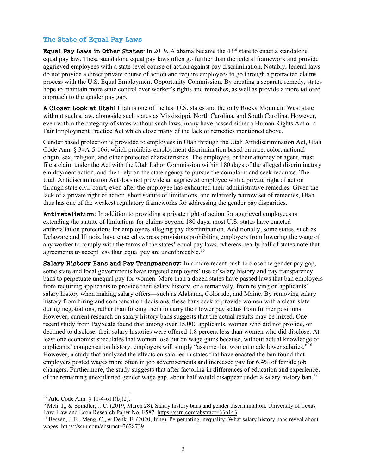#### The State of Equal Pay Laws

**Equal Pay Laws in Other States:** In 2019, Alabama became the  $43<sup>rd</sup>$  state to enact a standalone equal pay law. These standalone equal pay laws often go further than the federal framework and provide aggrieved employees with a state-level course of action against pay discrimination. Notably, federal laws do not provide a direct private course of action and require employees to go through a protracted claims process with the U.S. Equal Employment Opportunity Commission. By creating a separate remedy, states hope to maintain more state control over worker's rights and remedies, as well as provide a more tailored approach to the gender pay gap.

A Closer Look at Utah: Utah is one of the last U.S. states and the only Rocky Mountain West state without such a law, alongside such states as Mississippi, North Carolina, and South Carolina. However, even within the category of states without such laws, many have passed either a Human Rights Act or a Fair Employment Practice Act which close many of the lack of remedies mentioned above.

Gender based protection is provided to employees in Utah through the Utah Antidiscrimination Act, Utah Code Ann. § 34A-5-106, which prohibits employment discrimination based on race, color, national origin, sex, religion, and other protected characteristics. The employee, or their attorney or agent, must file a claim under the Act with the Utah Labor Commission within 180 days of the alleged discriminatory employment action, and then rely on the state agency to pursue the complaint and seek recourse. The Utah Antidiscrimination Act does not provide an aggrieved employee with a private right of action through state civil court, even after the employee has exhausted their administrative remedies. Given the lack of a private right of action, short statute of limitations, and relatively narrow set of remedies, Utah thus has one of the weakest regulatory frameworks for addressing the gender pay disparities.

Antiretaliation: In addition to providing a private right of action for aggrieved employees or extending the statute of limitations for claims beyond 180 days, most U.S. states have enacted antiretaliation protections for employees alleging pay discrimination. Additionally, some states, such as Delaware and Illinois, have enacted express provisions prohibiting employers from lowering the wage of any worker to comply with the terms of the states' equal pay laws, whereas nearly half of states note that agreements to accept less than equal pay are unenforceable.<sup>[15](#page-3-0)</sup>

Salary History Bans and Pay Transparency: In a more recent push to close the gender pay gap, some state and local governments have targeted employers' use of salary history and pay transparency bans to perpetuate unequal pay for women. More than a dozen states have passed laws that ban employers from requiring applicants to provide their salary history, or alternatively, from relying on applicants' salary history when making salary offers—such as Alabama, Colorado, and Maine. By removing salary history from hiring and compensation decisions, these bans seek to provide women with a clean slate during negotiations, rather than forcing them to carry their lower pay status from former positions. However, current research on salary history bans suggests that the actual results may be mixed. One recent study from PayScale found that among over 15,000 applicants, women who did not provide, or declined to disclose, their salary histories were offered 1.8 percent less than women who did disclose. At least one economist speculates that women lose out on wage gains because, without actual knowledge of applicants' compensation history, employers will simply "assume that women made lower salaries."<sup>[16](#page-3-1)</sup> However, a study that analyzed the effects on salaries in states that have enacted the ban found that employers posted wages more often in job advertisements and increased pay for 6.4% of female job changers. Furthermore, the study suggests that after factoring in differences of education and experience, of the remaining unexplained gender wage gap, about half would disappear under a salary history ban.[17](#page-3-2)

 $\overline{a}$ 

<span id="page-3-0"></span><sup>15</sup> Ark. Code Ann. § 11-4-611(b)(2).

<span id="page-3-1"></span><sup>&</sup>lt;sup>16</sup>Meli, J., & Spindler, J. C. (2019, March 28). Salary history bans and gender discrimination. University of Texas Law, Law and Econ Research Paper No. E587. <https://ssrn.com/abstract=336143>

<span id="page-3-2"></span><sup>&</sup>lt;sup>17</sup> Bessen, J. E., Meng, C., & Denk, E. (2020, June). Perpetuating inequality: What salary history bans reveal about wages.<https://ssrn.com/abstract=3628729>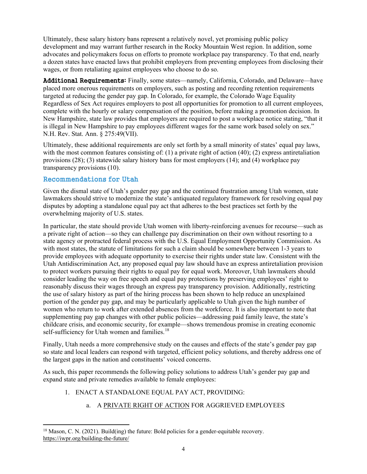Ultimately, these salary history bans represent a relatively novel, yet promising public policy development and may warrant further research in the Rocky Mountain West region. In addition, some advocates and policymakers focus on efforts to promote workplace pay transparency. To that end, nearly a dozen states have enacted laws that prohibit employers from preventing employees from disclosing their wages, or from retaliating against employees who choose to do so.

Additional Requirements: Finally, some states—namely, California, Colorado, and Delaware—have placed more onerous requirements on employers, such as posting and recording retention requirements targeted at reducing the gender pay gap. In Colorado, for example, the Colorado Wage Equality Regardless of Sex Act requires employers to post all opportunities for promotion to all current employees, complete with the hourly or salary compensation of the position, before making a promotion decision. In New Hampshire, state law provides that employers are required to post a workplace notice stating, "that it is illegal in New Hampshire to pay employees different wages for the same work based solely on sex." N.H. Rev. Stat. Ann. § 275:49(VII).

Ultimately, these additional requirements are only set forth by a small minority of states' equal pay laws, with the most common features consisting of: (1) a private right of action (40); (2) express antiretaliation provisions (28); (3) statewide salary history bans for most employers (14); and (4) workplace pay transparency provisions (10).

#### Recommendations for Utah

 $\overline{\phantom{a}}$ 

Given the dismal state of Utah's gender pay gap and the continued frustration among Utah women, state lawmakers should strive to modernize the state's antiquated regulatory framework for resolving equal pay disputes by adopting a standalone equal pay act that adheres to the best practices set forth by the overwhelming majority of U.S. states.

In particular, the state should provide Utah women with liberty-reinforcing avenues for recourse—such as a private right of action—so they can challenge pay discrimination on their own without resorting to a state agency or protracted federal process with the U.S. Equal Employment Opportunity Commission. As with most states, the statute of limitations for such a claim should be somewhere between 1-3 years to provide employees with adequate opportunity to exercise their rights under state law. Consistent with the Utah Antidiscrimination Act, any proposed equal pay law should have an express antiretaliation provision to protect workers pursuing their rights to equal pay for equal work. Moreover, Utah lawmakers should consider leading the way on free speech and equal pay protections by preserving employees' right to reasonably discuss their wages through an express pay transparency provision. Additionally, restricting the use of salary history as part of the hiring process has been shown to help reduce an unexplained portion of the gender pay gap, and may be particularly applicable to Utah given the high number of women who return to work after extended absences from the workforce. It is also important to note that supplementing pay gap changes with other public policies—addressing paid family leave, the state's childcare crisis, and economic security, for example—shows tremendous promise in creating economic self-sufficiency for Utah women and families.<sup>[18](#page-4-0)</sup>

Finally, Utah needs a more comprehensive study on the causes and effects of the state's gender pay gap so state and local leaders can respond with targeted, efficient policy solutions, and thereby address one of the largest gaps in the nation and constituents' voiced concerns.

As such, this paper recommends the following policy solutions to address Utah's gender pay gap and expand state and private remedies available to female employees:

#### 1. ENACT A STANDALONE EQUAL PAY ACT, PROVIDING:

#### a. A PRIVATE RIGHT OF ACTION FOR AGGRIEVED EMPLOYEES

<span id="page-4-0"></span> $18$  Mason, C. N. (2021). Build(ing) the future: Bold policies for a gender-equitable recovery. <https://iwpr.org/building-the-future/>